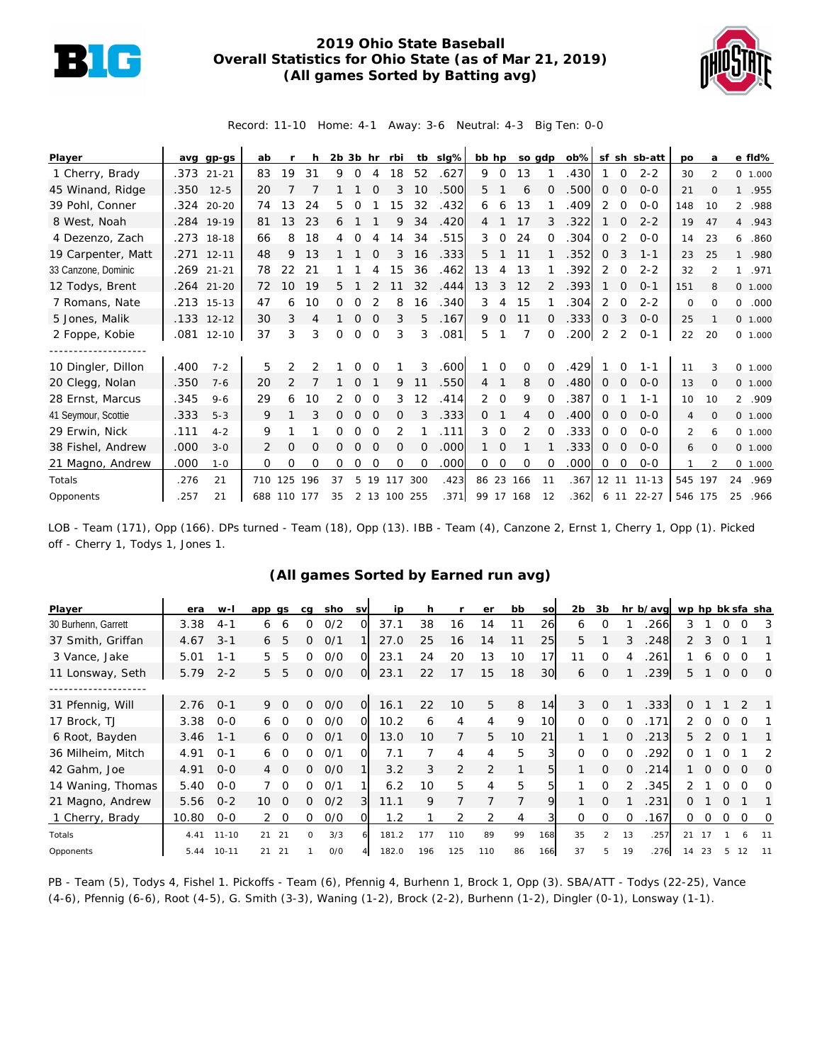

## **2019 Ohio State Baseball Overall Statistics for Ohio State (as of Mar 21, 2019) (All games Sorted by Batting avg)**



Record: 11-10 Home: 4-1 Away: 3-6 Neutral: 4-3 Big Ten: 0-0

| Player              |      | avg gp-gs  | ab  |             | h             | $2b$ $3b$ hr |              |          | rbi          |          | tb slg% | bb hp          |             | so gdp    |                | $ob\%$ |                   |                | sf sh sb-att | po             | a              |                | e fld%   |
|---------------------|------|------------|-----|-------------|---------------|--------------|--------------|----------|--------------|----------|---------|----------------|-------------|-----------|----------------|--------|-------------------|----------------|--------------|----------------|----------------|----------------|----------|
| 1 Cherry, Brady     | .373 | $21 - 21$  | 83  | 19          | 31            | 9            | $\Omega$     | 4        | 18           | 52       | .627    | 9              | $\mathbf 0$ | 13        |                | .430   |                   | $\Omega$       | $2 - 2$      | 30             | $\mathfrak{D}$ |                | 0 1.000  |
| 45 Winand, Ridge    | .350 | $12 - 5$   | 20  |             |               |              |              |          |              | 10       | .500    | 5              |             | 6         | $\Omega$       | .500   | $\Omega$          | 0              | $0 - 0$      | 21             | $\Omega$       |                | 1 .955   |
| 39 Pohl, Conner     |      | .324 20-20 | 74  | 13          | 24            | 5.           | Ω            |          | 15           | 32       | .432    | 6              | 6           | 13        |                | .409   | 2                 | $\Omega$       | $0 - 0$      | 148            | 10             | $\overline{2}$ | .988     |
| 8 West, Noah        |      | .284 19-19 | 81  | 13          | 23            | 6            |              |          | 9            | 34       | .420    | 4              |             | 17        |                | .322   |                   | 0              | $2 - 2$      | 19             | 47             |                | 4.943    |
| 4 Dezenzo, Zach     |      | .273 18-18 | 66  | 8           | 18            | 4            | $\Omega$     |          | 14           | 34       | .515    | 3              | $\Omega$    | 24        | $\Omega$       | .304   | $\Omega$          | 2              | $0 - 0$      | 14             | 23             |                | 6.860    |
| 19 Carpenter, Matt  |      | .271 12-11 | 48  | 9           | 13            |              |              |          | 3            | 16       | .333    | 5              |             | 11        |                | .352   | $\Omega$          | 3              | $1 - 1$      | 23             | 25             |                | 1 .980   |
| 33 Canzone, Dominic |      | .269 21-21 | 78  | 22          | 21            |              |              |          | 15           | 36       | .462    | 13             | 4           | 13        |                | .392   | 2                 | $\mathbf 0$    | $2 - 2$      | 32             | $\overline{2}$ |                | 1 .971   |
| 12 Todys, Brent     |      | .264 21-20 | 72  | 10          | 19            | 5.           |              |          |              | 32       | .444    | 13             | 3           | 12        |                | .393   |                   | $\Omega$       | $O - 1$      | 151            | 8              |                | 0 1.000  |
| 7 Romans, Nate      |      | .213 15-13 | 47  | 6           | 10            | 0            |              |          | 8            | 16       | .340    | 3              | 4           | 15        |                | .304   | 2                 | 0              | $2 - 2$      | $\circ$        | $\Omega$       | 0              | .000     |
| 5 Jones, Malik      |      | .133 12-12 | 30  | 3           | 4             |              | $\mathbf{0}$ | $\Omega$ | 3            | 5        | .167    | 9              | $\Omega$    | 11        | $\Omega$       | .333   | $\Omega$          | 3              | $O - O$      | 25             |                |                | 0 1.000  |
| 2 Foppe, Kobie      |      | 081 12-10  | 37  | 3           | 3             | 0            | $\Omega$     | $\Omega$ | 3            | 3        | .081    | 5              |             |           | $\Omega$       | .200   | 2                 | 2              | $O - 1$      | 22             | 20             |                | 0 1.000  |
|                     |      |            |     |             |               |              |              |          |              |          |         |                |             |           |                |        |                   |                |              |                |                |                |          |
| 10 Dingler, Dillon  | .400 | $7 - 2$    | 5   | 2           | $\mathcal{P}$ |              | 0            | $\Omega$ |              | 3        | .600    |                | $\Omega$    | 0         | $\Omega$       | .429   |                   | $\Omega$       | $1 - 1$      | 11             | 3              |                | 0 1.000  |
| 20 Clegg, Nolan     | .350 | $7 - 6$    | 20  |             |               |              | Ω            |          | 9            | 11       | .550    | $\overline{4}$ |             | 8         | $\overline{0}$ | .480   | 0                 | $\mathbf 0$    | $O - O$      | 13             | $\circ$        |                | 0 1.000  |
| 28 Ernst, Marcus    | .345 | $9 - 6$    | 29  | 6           | 10            | 2            | Ω            | $\Omega$ | 3            | 12       | .414    | 2              | $\Omega$    | 9         | $\Omega$       | .387   | $\Omega$          |                | $1 - 1$      | 10             | 10             |                | 2 .909   |
| 41 Seymour, Scottie | .333 | $5 - 3$    | 9   |             | 3             | 0            | $\Omega$     | $\Omega$ | $\Omega$     |          | .333    | $\Omega$       |             | 4         | $\Omega$       | .400   | $\Omega$          | $\Omega$       | $0 - 0$      | 4              | $\Omega$       |                | 0, 1,000 |
| 29 Erwin, Nick      | .111 | $4 - 2$    | 9   |             |               | 0            | $\Omega$     | $\Omega$ | 2            |          | .111    | 3              | 0           | 2         | $\Omega$       | .333   | 0                 | $\Omega$       | $0 - 0$      | $\overline{2}$ | 6              |                | 0 1.000  |
| 38 Fishel, Andrew   | .000 | $3 - 0$    | 2   | 0           | O             | 0            | $\Omega$     | $\Omega$ | $\Omega$     | $\Omega$ | .000    |                | $\Omega$    |           |                | .333   | $\Omega$          | $\overline{0}$ | $O - O$      | 6              | $\Omega$       |                | 0 1.000  |
| 21 Magno, Andrew    | .000 | $1 - 0$    | 0   | 0           | Ω             | 0            | Ω            | $\Omega$ | $\Omega$     | $\Omega$ | .000    | 0              | 0           | $\Omega$  | $\Omega$       | .000   | 0                 | 0              | $0 - 0$      |                | $\mathcal{P}$  |                | 0 1.000  |
| Totals              | .276 | 21         | 710 | 125         | 196           | 37           | 5.           | 19       | 117          | 300      | .423    | 86 23          |             | 166       | 11             | .367   | $12 \overline{ }$ | 11             | $11 - 13$    | 545            | 197            | 24             | .969     |
| Opponents           | .257 | 21         |     | 688 110 177 |               | 35           |              |          | 2 13 100 255 |          | .371    |                |             | 99 17 168 | 12             | .362   |                   |                | 6 11 22-27   | 546 175        |                | 25             | .966     |

LOB - Team (171), Opp (166). DPs turned - Team (18), Opp (13). IBB - Team (4), Canzone 2, Ernst 1, Cherry 1, Opp (1). Picked off - Cherry 1, Todys 1, Jones 1.

## **(All games Sorted by Earned run avg)**

| Player              | era   | $W-I$     | app gs                      | ca           | sho | <b>SV</b>      | ip    | h   |                | er             | bb | SO  | 2b       | 3b             |          | hr b/avg wp hp bk sfa sha |               |          |             |             |                |
|---------------------|-------|-----------|-----------------------------|--------------|-----|----------------|-------|-----|----------------|----------------|----|-----|----------|----------------|----------|---------------------------|---------------|----------|-------------|-------------|----------------|
| 30 Burhenn, Garrett | 3.38  | $4 - 1$   | 6<br>6                      | O            | O/2 | വ              | 37.1  | 38  | 16             | 14             | 11 | 26  | 6        | O              |          | 266                       | 3             |          | O           | Ω           | 3              |
| 37 Smith, Griffan   | 4.67  | $3 - 1$   | 5<br>6                      | 0            | O/1 |                | 27.0  | 25  | 16             | 14             | 11 | 25  | 5        |                | 3        | 248                       | 2             | 3        | $\Omega$    |             |                |
| 3 Vance, Jake       | 5.01  | $1 - 1$   | 5<br>5                      | 0            | O/O | 0              | 23.1  | 24  | 20             | 13             | 10 | 17  | 11       | $\Omega$       |          | 261                       |               | 6        |             | ∩           |                |
| 11 Lonsway, Seth    | 5.79  | $2 - 2$   | 5<br>5                      | 0            | 0/0 | $\overline{O}$ | 23.1  | 22  |                | 15             | 18 | 30  | 6        | $\mathcal{O}$  |          | .239                      | 5             |          | $\mathbf 0$ | $\mathbf 0$ | $\overline{0}$ |
|                     |       |           |                             |              |     |                |       |     |                |                |    |     |          |                |          |                           |               |          |             |             |                |
| 31 Pfennig, Will    | 2.76  | $0 - 1$   | 9<br>$\Omega$               | 0            | O/O | O              | 16.1  | 22  | 10             | 5              | 8  | 14  | 3        | $\Omega$       |          | .333                      | 0             |          |             |             |                |
| 17 Brock, TJ        | 3.38  | $O - O$   | $\cap$<br>6                 | 0            | 0/0 | O.             | 10.2  | 6   | 4              | 4              | 9  | 10  | $\Omega$ | $\Omega$       | 0        | .171                      | $\mathcal{P}$ |          |             |             |                |
| 6 Root, Bayden      | 3.46  | $1 - 1$   | 6 0                         | 0            | O/1 | $\Omega$       | 13.0  | 10  | 7              | 5              | 10 | 21  |          |                | $\Omega$ | .213                      | 5.            |          | $\Omega$    |             |                |
| 36 Milheim, Mitch   | 4.91  | $O - 1$   | 6                           | ∩            | O/1 | O.             | 7.1   |     | $\overline{4}$ | 4              | 5  | 3   | $\Omega$ | $\Omega$       |          | 292                       |               |          |             |             | 2              |
| 42 Gahm, Joe        | 4.91  | $0 - 0$   | $\Omega$<br>$\overline{4}$  | 0            | O/O |                | 3.2   | 3   | 2              | $\overline{2}$ | 1  | 51  |          | $\Omega$       | $\Omega$ | .214                      |               | $\Omega$ | $\Omega$    | $\Omega$    | $\Omega$       |
| 14 Waning, Thomas   | 5.40  | $O - O$   | $\Omega$                    | <sup>o</sup> | O/1 |                | 6.2   | 10  | 5              | 4              | 5  | 5   |          | $\Omega$       | 2        | 345                       |               |          | ∩           | ∩           | $\Omega$       |
| 21 Magno, Andrew    | 5.56  | $0 - 2$   | 10 <sup>°</sup><br>$\Omega$ | 0            | O/2 | 3              | 11.1  | 9   |                |                | 7  | 9   |          | $\Omega$       |          | 231                       | 0             |          | ∩           |             |                |
| 1 Cherry, Brady     | 10.80 | $0-0$     | 2 0                         | 0            | 0/0 | ΩI             | 1.2   |     | 2              |                | 4  |     | 0        | 0              | 0        | .167                      | 0             | $\circ$  | 0           | $\Omega$    | 0              |
| Totals              | 4.41  | $11 - 10$ | 21<br>21                    | $\Omega$     | 3/3 | 61             | 181.2 | 177 | 110            | 89             | 99 | 168 | 35       | $\overline{2}$ | 13       | .257                      | 21            | 17       |             | 6           |                |
| Opponents           | 5.44  | $10 - 11$ | 21<br>21                    |              | O/O |                | 182.0 | 196 | 125            | 110            | 86 | 166 | 37       | 5              | 19       | .276                      | 14            | 23       |             |             |                |

PB - Team (5), Todys 4, Fishel 1. Pickoffs - Team (6), Pfennig 4, Burhenn 1, Brock 1, Opp (3). SBA/ATT - Todys (22-25), Vance (4-6), Pfennig (6-6), Root (4-5), G. Smith (3-3), Waning (1-2), Brock (2-2), Burhenn (1-2), Dingler (0-1), Lonsway (1-1).